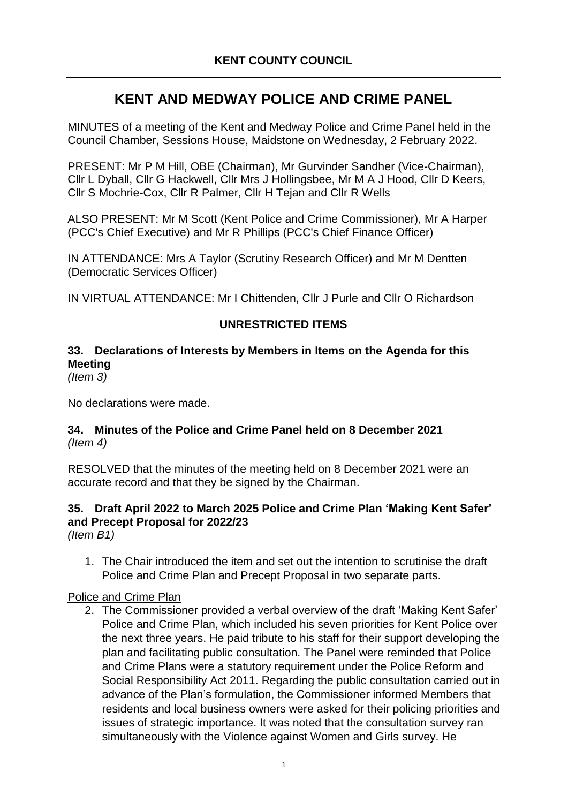# **KENT AND MEDWAY POLICE AND CRIME PANEL**

MINUTES of a meeting of the Kent and Medway Police and Crime Panel held in the Council Chamber, Sessions House, Maidstone on Wednesday, 2 February 2022.

PRESENT: Mr P M Hill, OBE (Chairman), Mr Gurvinder Sandher (Vice-Chairman), Cllr L Dyball, Cllr G Hackwell, Cllr Mrs J Hollingsbee, Mr M A J Hood, Cllr D Keers, Cllr S Mochrie-Cox, Cllr R Palmer, Cllr H Tejan and Cllr R Wells

ALSO PRESENT: Mr M Scott (Kent Police and Crime Commissioner), Mr A Harper (PCC's Chief Executive) and Mr R Phillips (PCC's Chief Finance Officer)

IN ATTENDANCE: Mrs A Taylor (Scrutiny Research Officer) and Mr M Dentten (Democratic Services Officer)

IN VIRTUAL ATTENDANCE: Mr I Chittenden, Cllr J Purle and Cllr O Richardson

## **UNRESTRICTED ITEMS**

# **33. Declarations of Interests by Members in Items on the Agenda for this Meeting**

*(Item 3)*

No declarations were made.

#### **34. Minutes of the Police and Crime Panel held on 8 December 2021** *(Item 4)*

RESOLVED that the minutes of the meeting held on 8 December 2021 were an accurate record and that they be signed by the Chairman.

# **35. Draft April 2022 to March 2025 Police and Crime Plan 'Making Kent Safer' and Precept Proposal for 2022/23**

*(Item B1)*

1. The Chair introduced the item and set out the intention to scrutinise the draft Police and Crime Plan and Precept Proposal in two separate parts.

#### Police and Crime Plan

2. The Commissioner provided a verbal overview of the draft 'Making Kent Safer' Police and Crime Plan, which included his seven priorities for Kent Police over the next three years. He paid tribute to his staff for their support developing the plan and facilitating public consultation. The Panel were reminded that Police and Crime Plans were a statutory requirement under the Police Reform and Social Responsibility Act 2011. Regarding the public consultation carried out in advance of the Plan's formulation, the Commissioner informed Members that residents and local business owners were asked for their policing priorities and issues of strategic importance. It was noted that the consultation survey ran simultaneously with the Violence against Women and Girls survey. He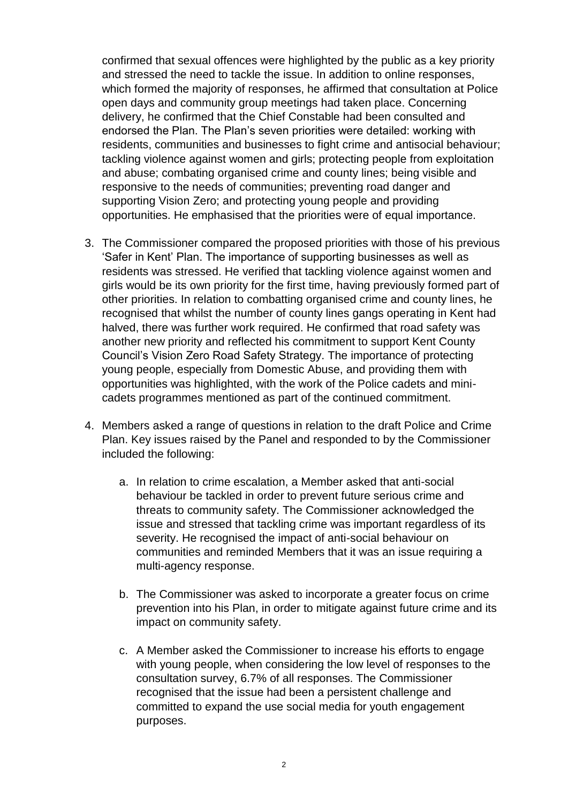confirmed that sexual offences were highlighted by the public as a key priority and stressed the need to tackle the issue. In addition to online responses, which formed the majority of responses, he affirmed that consultation at Police open days and community group meetings had taken place. Concerning delivery, he confirmed that the Chief Constable had been consulted and endorsed the Plan. The Plan's seven priorities were detailed: working with residents, communities and businesses to fight crime and antisocial behaviour; tackling violence against women and girls; protecting people from exploitation and abuse; combating organised crime and county lines; being visible and responsive to the needs of communities; preventing road danger and supporting Vision Zero; and protecting young people and providing opportunities. He emphasised that the priorities were of equal importance.

- 3. The Commissioner compared the proposed priorities with those of his previous 'Safer in Kent' Plan. The importance of supporting businesses as well as residents was stressed. He verified that tackling violence against women and girls would be its own priority for the first time, having previously formed part of other priorities. In relation to combatting organised crime and county lines, he recognised that whilst the number of county lines gangs operating in Kent had halved, there was further work required. He confirmed that road safety was another new priority and reflected his commitment to support Kent County Council's Vision Zero Road Safety Strategy. The importance of protecting young people, especially from Domestic Abuse, and providing them with opportunities was highlighted, with the work of the Police cadets and minicadets programmes mentioned as part of the continued commitment.
- 4. Members asked a range of questions in relation to the draft Police and Crime Plan. Key issues raised by the Panel and responded to by the Commissioner included the following:
	- a. In relation to crime escalation, a Member asked that anti-social behaviour be tackled in order to prevent future serious crime and threats to community safety. The Commissioner acknowledged the issue and stressed that tackling crime was important regardless of its severity. He recognised the impact of anti-social behaviour on communities and reminded Members that it was an issue requiring a multi-agency response.
	- b. The Commissioner was asked to incorporate a greater focus on crime prevention into his Plan, in order to mitigate against future crime and its impact on community safety.
	- c. A Member asked the Commissioner to increase his efforts to engage with young people, when considering the low level of responses to the consultation survey, 6.7% of all responses. The Commissioner recognised that the issue had been a persistent challenge and committed to expand the use social media for youth engagement purposes.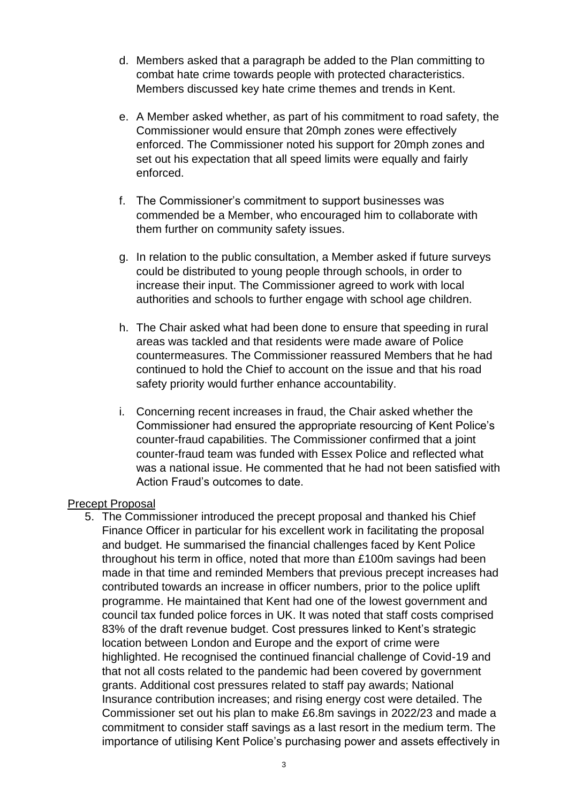- d. Members asked that a paragraph be added to the Plan committing to combat hate crime towards people with protected characteristics. Members discussed key hate crime themes and trends in Kent.
- e. A Member asked whether, as part of his commitment to road safety, the Commissioner would ensure that 20mph zones were effectively enforced. The Commissioner noted his support for 20mph zones and set out his expectation that all speed limits were equally and fairly enforced.
- f. The Commissioner's commitment to support businesses was commended be a Member, who encouraged him to collaborate with them further on community safety issues.
- g. In relation to the public consultation, a Member asked if future surveys could be distributed to young people through schools, in order to increase their input. The Commissioner agreed to work with local authorities and schools to further engage with school age children.
- h. The Chair asked what had been done to ensure that speeding in rural areas was tackled and that residents were made aware of Police countermeasures. The Commissioner reassured Members that he had continued to hold the Chief to account on the issue and that his road safety priority would further enhance accountability.
- i. Concerning recent increases in fraud, the Chair asked whether the Commissioner had ensured the appropriate resourcing of Kent Police's counter-fraud capabilities. The Commissioner confirmed that a joint counter-fraud team was funded with Essex Police and reflected what was a national issue. He commented that he had not been satisfied with Action Fraud's outcomes to date.

## Precept Proposal

5. The Commissioner introduced the precept proposal and thanked his Chief Finance Officer in particular for his excellent work in facilitating the proposal and budget. He summarised the financial challenges faced by Kent Police throughout his term in office, noted that more than £100m savings had been made in that time and reminded Members that previous precept increases had contributed towards an increase in officer numbers, prior to the police uplift programme. He maintained that Kent had one of the lowest government and council tax funded police forces in UK. It was noted that staff costs comprised 83% of the draft revenue budget. Cost pressures linked to Kent's strategic location between London and Europe and the export of crime were highlighted. He recognised the continued financial challenge of Covid-19 and that not all costs related to the pandemic had been covered by government grants. Additional cost pressures related to staff pay awards; National Insurance contribution increases; and rising energy cost were detailed. The Commissioner set out his plan to make £6.8m savings in 2022/23 and made a commitment to consider staff savings as a last resort in the medium term. The importance of utilising Kent Police's purchasing power and assets effectively in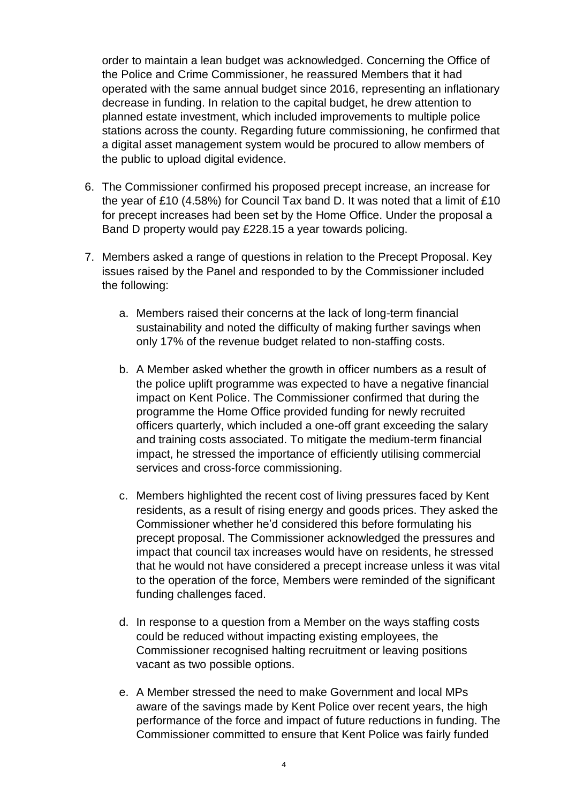order to maintain a lean budget was acknowledged. Concerning the Office of the Police and Crime Commissioner, he reassured Members that it had operated with the same annual budget since 2016, representing an inflationary decrease in funding. In relation to the capital budget, he drew attention to planned estate investment, which included improvements to multiple police stations across the county. Regarding future commissioning, he confirmed that a digital asset management system would be procured to allow members of the public to upload digital evidence.

- 6. The Commissioner confirmed his proposed precept increase, an increase for the year of £10 (4.58%) for Council Tax band D. It was noted that a limit of £10 for precept increases had been set by the Home Office. Under the proposal a Band D property would pay £228.15 a year towards policing.
- 7. Members asked a range of questions in relation to the Precept Proposal. Key issues raised by the Panel and responded to by the Commissioner included the following:
	- a. Members raised their concerns at the lack of long-term financial sustainability and noted the difficulty of making further savings when only 17% of the revenue budget related to non-staffing costs.
	- b. A Member asked whether the growth in officer numbers as a result of the police uplift programme was expected to have a negative financial impact on Kent Police. The Commissioner confirmed that during the programme the Home Office provided funding for newly recruited officers quarterly, which included a one-off grant exceeding the salary and training costs associated. To mitigate the medium-term financial impact, he stressed the importance of efficiently utilising commercial services and cross-force commissioning.
	- c. Members highlighted the recent cost of living pressures faced by Kent residents, as a result of rising energy and goods prices. They asked the Commissioner whether he'd considered this before formulating his precept proposal. The Commissioner acknowledged the pressures and impact that council tax increases would have on residents, he stressed that he would not have considered a precept increase unless it was vital to the operation of the force, Members were reminded of the significant funding challenges faced.
	- d. In response to a question from a Member on the ways staffing costs could be reduced without impacting existing employees, the Commissioner recognised halting recruitment or leaving positions vacant as two possible options.
	- e. A Member stressed the need to make Government and local MPs aware of the savings made by Kent Police over recent years, the high performance of the force and impact of future reductions in funding. The Commissioner committed to ensure that Kent Police was fairly funded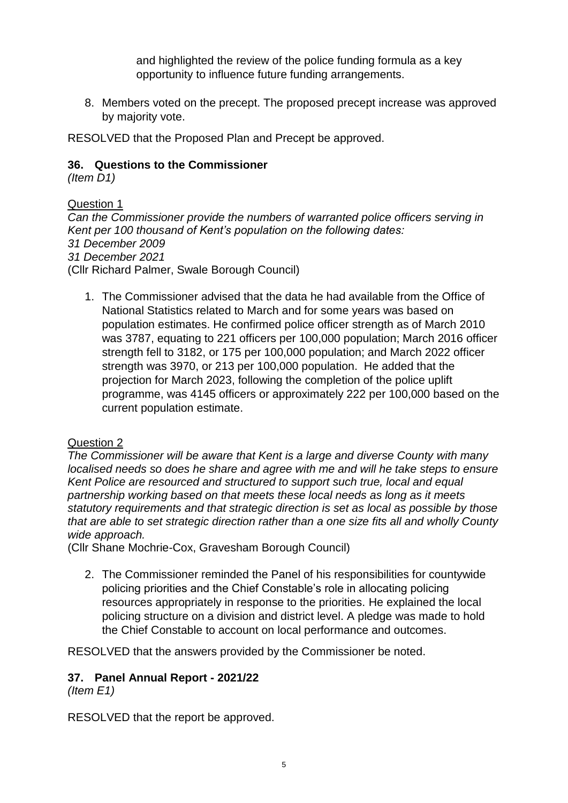and highlighted the review of the police funding formula as a key opportunity to influence future funding arrangements.

8. Members voted on the precept. The proposed precept increase was approved by majority vote.

RESOLVED that the Proposed Plan and Precept be approved.

#### **36. Questions to the Commissioner**

*(Item D1)*

Question 1 *Can the Commissioner provide the numbers of warranted police officers serving in Kent per 100 thousand of Kent's population on the following dates: 31 December 2009 31 December 2021* (Cllr Richard Palmer, Swale Borough Council)

1. The Commissioner advised that the data he had available from the Office of National Statistics related to March and for some years was based on population estimates. He confirmed police officer strength as of March 2010 was 3787, equating to 221 officers per 100,000 population; March 2016 officer strength fell to 3182, or 175 per 100,000 population; and March 2022 officer strength was 3970, or 213 per 100,000 population. He added that the projection for March 2023, following the completion of the police uplift programme, was 4145 officers or approximately 222 per 100,000 based on the current population estimate.

#### Question 2

*The Commissioner will be aware that Kent is a large and diverse County with many localised needs so does he share and agree with me and will he take steps to ensure Kent Police are resourced and structured to support such true, local and equal partnership working based on that meets these local needs as long as it meets statutory requirements and that strategic direction is set as local as possible by those that are able to set strategic direction rather than a one size fits all and wholly County wide approach.*

(Cllr Shane Mochrie-Cox, Gravesham Borough Council)

2. The Commissioner reminded the Panel of his responsibilities for countywide policing priorities and the Chief Constable's role in allocating policing resources appropriately in response to the priorities. He explained the local policing structure on a division and district level. A pledge was made to hold the Chief Constable to account on local performance and outcomes.

RESOLVED that the answers provided by the Commissioner be noted.

## **37. Panel Annual Report - 2021/22**

*(Item E1)*

RESOLVED that the report be approved.